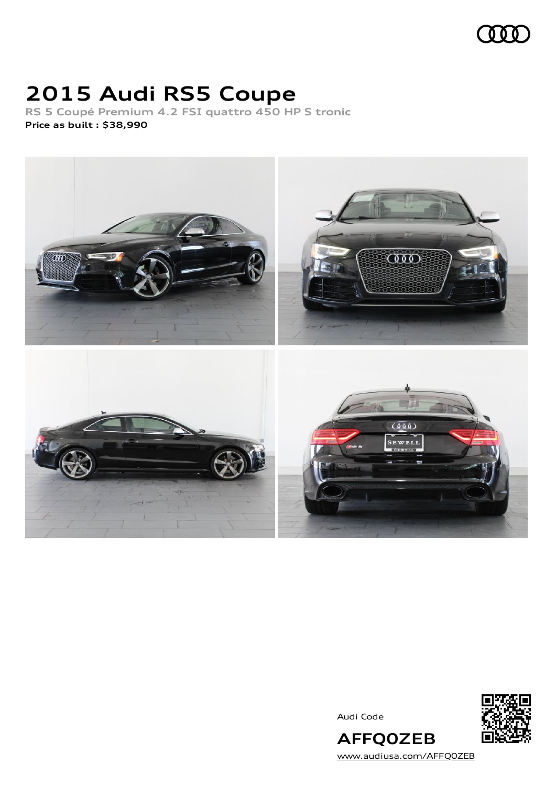

# **2015 Audi RS5 Coupe**

**RS 5 Coupé Premium 4.2 FSI quattro 450 HP S tronic Price as built [:](#page-10-0) \$38,990**



Audi Code



[www.audiusa.com/AFFQ0ZEB](https://www.audiusa.com/AFFQ0ZEB)

**AFFQ0ZEB**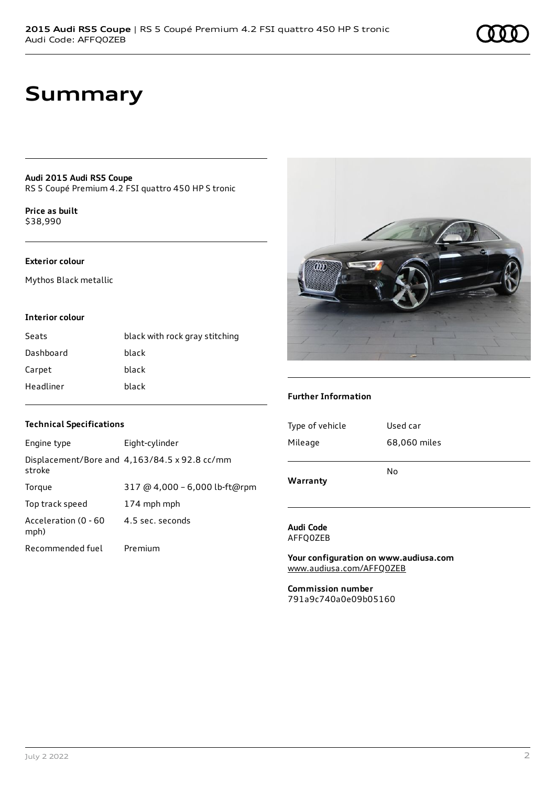# **Summary**

### **Audi 2015 Audi RS5 Coupe**

RS 5 Coupé Premium 4.2 FSI quattro 450 HP S tronic

**Price as buil[t](#page-10-0)** \$38,990

### **Exterior colour**

Mythos Black metallic

### **Interior colour**

| Seats     | black with rock gray stitching |
|-----------|--------------------------------|
| Dashboard | black                          |
| Carpet    | black                          |
| Headliner | black                          |

# m

### **Further Information**

| <b>Technical Specifications</b> |                                                      |  |
|---------------------------------|------------------------------------------------------|--|
| Engine type                     | Eight-cylinder                                       |  |
| stroke                          | Displacement/Bore and $4,163/84.5 \times 92.8$ cc/mm |  |
| Torque                          | 317 @ 4,000 - 6,000 lb-ft@rpm                        |  |
| Top track speed                 | 174 mph mph                                          |  |
| Acceleration (0 - 60<br>mph)    | 4.5 sec. seconds                                     |  |

Recommended fuel Premium

Type of vehicle Used car Mileage 68,060 miles

**Warranty**

No

**Audi Code** AFFQ0ZEB

**Your configuration on www.audiusa.com** [www.audiusa.com/AFFQ0ZEB](https://www.audiusa.com/AFFQ0ZEB)

**Commission number** 791a9c740a0e09b05160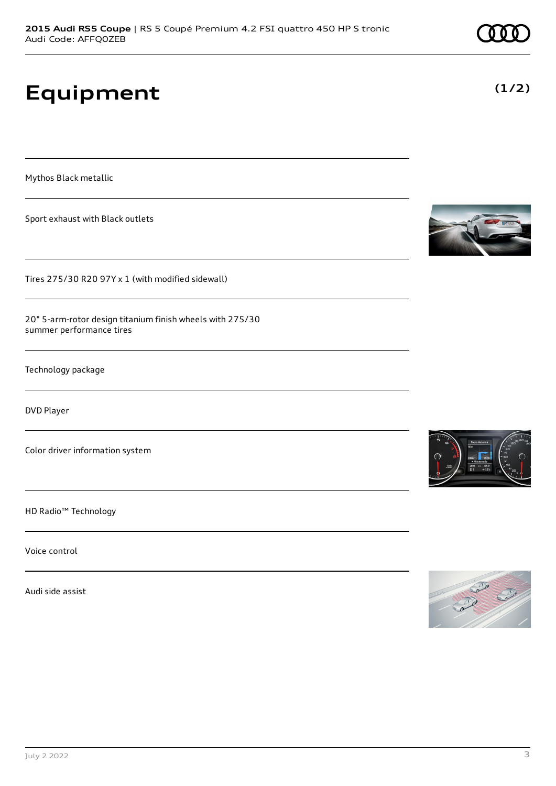# **Equipment**

Mythos Black metallic

Sport exhaust with Black outlets

Tires 275/30 R20 97Y x 1 (with modified sidewall)

20" 5-arm-rotor design titanium finish wheels with 275/30 summer performance tires

Technology package

DVD Player

Color driver information system

HD Radio™ Technology

Voice control

Audi side assist









**(1/2)**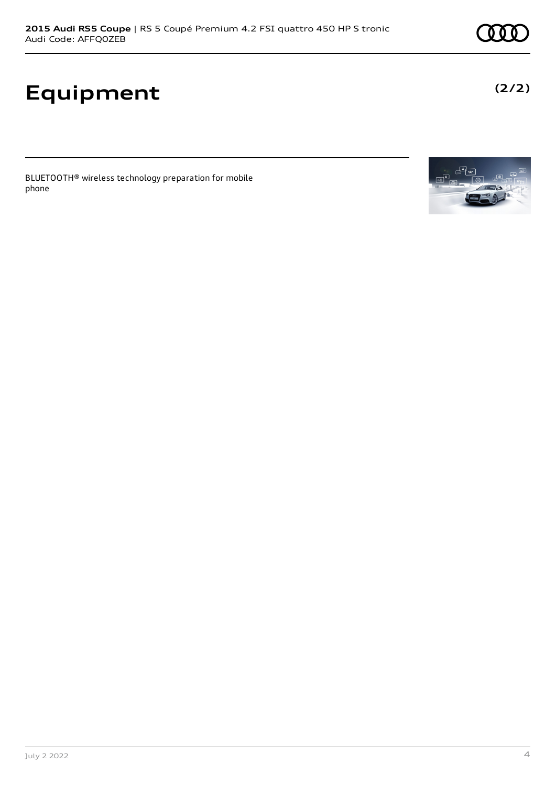# **Equipment**

BLUETOOTH® wireless technology preparation for mobile phone



**(2/2)**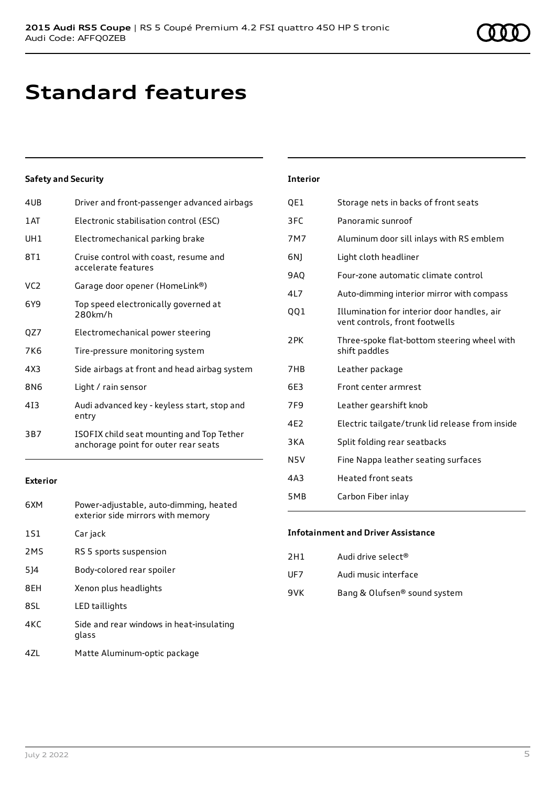# **Standard features**

# **Safety and Security**

| 4UB             | Driver and front-passenger advanced airbags                                       |
|-----------------|-----------------------------------------------------------------------------------|
| 1AT             | Electronic stabilisation control (ESC)                                            |
| UH1             | Electromechanical parking brake                                                   |
| 8T1             | Cruise control with coast, resume and<br>accelerate features                      |
| VC <sub>2</sub> | Garage door opener (HomeLink®)                                                    |
| 6Y9             | Top speed electronically governed at<br>280km/h                                   |
| QZ7             | Electromechanical power steering                                                  |
| 7K6             | Tire-pressure monitoring system                                                   |
| 4X3             | Side airbags at front and head airbag system                                      |
| 8N6             | Light / rain sensor                                                               |
| 413             | Audi advanced key - keyless start, stop and<br>entry                              |
| 3B7             | ISOFIX child seat mounting and Top Tether<br>anchorage point for outer rear seats |

## **Exterior**

| 6XM | Power-adjustable, auto-dimming, heated<br>exterior side mirrors with memory |
|-----|-----------------------------------------------------------------------------|
| 1S1 | Car jack                                                                    |
| 2MS | RS 5 sports suspension                                                      |
| 5]4 | Body-colored rear spoiler                                                   |
| 8EH | Xenon plus headlights                                                       |
| 8SL | LED taillights                                                              |
| 4KC | Side and rear windows in heat-insulating<br>glass                           |
| 47I | Matte Aluminum-optic package                                                |

### **Interior**

| QE1             | Storage nets in backs of front seats                                          |
|-----------------|-------------------------------------------------------------------------------|
| 3FC             | Panoramic sunroof                                                             |
| 7M7             | Aluminum door sill inlays with RS emblem                                      |
| 6N)             | Light cloth headliner                                                         |
| <b>9AO</b>      | Four-zone automatic climate control                                           |
| 4L7             | Auto-dimming interior mirror with compass                                     |
| QQ1             | Illumination for interior door handles, air<br>vent controls, front footwells |
| 2PK             | Three-spoke flat-bottom steering wheel with<br>shift paddles                  |
| 7HB             | Leather package                                                               |
| 6E3             | Front center armrest                                                          |
| 7F <sub>9</sub> | Leather gearshift knob                                                        |
| 4F <sub>2</sub> | Electric tailgate/trunk lid release from inside                               |
| 3KA             | Split folding rear seatbacks                                                  |
| N5V             | Fine Nappa leather seating surfaces                                           |
| 4A3             | <b>Heated front seats</b>                                                     |
| 5MB             | Carbon Fiber inlay                                                            |

## **Infotainment and Driver Assistance**

| 2H1 | Audi drive select <sup>®</sup> |
|-----|--------------------------------|
| UF7 | Audi music interface           |
| 9VK | Bang & Olufsen® sound system   |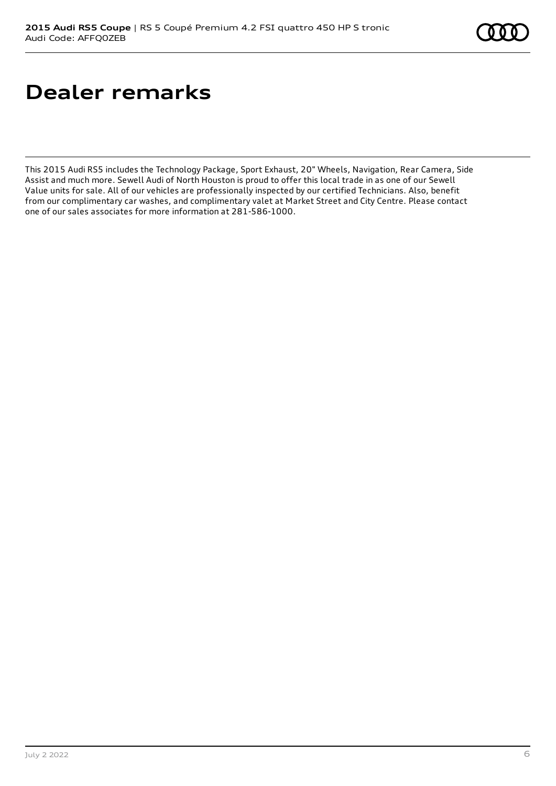# **Dealer remarks**

This 2015 Audi RS5 includes the Technology Package, Sport Exhaust, 20" Wheels, Navigation, Rear Camera, Side Assist and much more. Sewell Audi of North Houston is proud to offer this local trade in as one of our Sewell Value units for sale. All of our vehicles are professionally inspected by our certified Technicians. Also, benefit from our complimentary car washes, and complimentary valet at Market Street and City Centre. Please contact one of our sales associates for more information at 281-586-1000.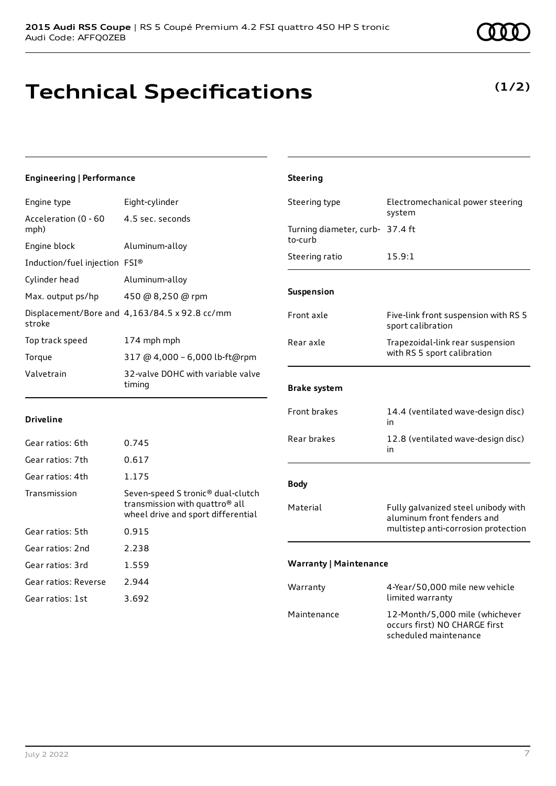# **Technical Specifications**

4.5 sec. seconds

**Driveline**

**Engineering | Performance**

Induction/fuel injection FSI®

Gear ratios: 6th 0.745 Gear ratios: 7th 0.617 Gear ratios: 4th 1.175

Gear ratios: 5th 0.915 Gear ratios: 2nd 2.238 Gear ratios: 3rd 1.559 Gear ratios: Reverse 2.944 Gear ratios: 1st 3.692

Acceleration (0 - 60

mph)

Engine type Eight-cylinder

Engine block Aluminum-alloy

Cylinder head Aluminum-alloy

| Max. output ps/hp | 450 @ 8,250 @ rpm                             |
|-------------------|-----------------------------------------------|
| stroke            | Displacement/Bore and 4,163/84.5 x 92.8 cc/mm |
| Top track speed   | 174 mph mph                                   |
| Torque            | 317 @ 4,000 - 6,000 lb-ft@rpm                 |
| Valvetrain        | 32-valve DOHC with variable valve<br>timing   |

transmission with quattro® all

| <b>Suspension</b>             |                                                                                                          |
|-------------------------------|----------------------------------------------------------------------------------------------------------|
| Front axle                    | Five-link front suspension with RS 5<br>sport calibration                                                |
| Rear axle                     | Trapezoidal-link rear suspension<br>with RS 5 sport calibration                                          |
| <b>Brake system</b>           |                                                                                                          |
| <b>Front brakes</b>           | 14.4 (ventilated wave-design disc)<br>in                                                                 |
| Rear brakes                   | 12.8 (ventilated wave-design disc)<br>in                                                                 |
| <b>Body</b>                   |                                                                                                          |
| Material                      | Fully galvanized steel unibody with<br>aluminum front fenders and<br>multistep anti-corrosion protection |
| <b>Warranty   Maintenance</b> |                                                                                                          |
| Warranty                      | 4-Year/50,000 mile new vehicle<br>limited warranty                                                       |

Steering type Electromechanical power steering system

| Warranty    | 4-Year/50,000 mile new vehicle<br>limited warranty              |
|-------------|-----------------------------------------------------------------|
| Maintenance | 12-Month/5.000 mile (whichever<br>occurs first) NO CHARGE first |

scheduled maintenance

Transmission Seven-speed S tronic® dual-clutch wheel drive and sport differential

**Steering**

to-curb

Turning diameter, curb-37.4 ft

Steering ratio 15.9:1

| July 2 2022 |  |  |
|-------------|--|--|

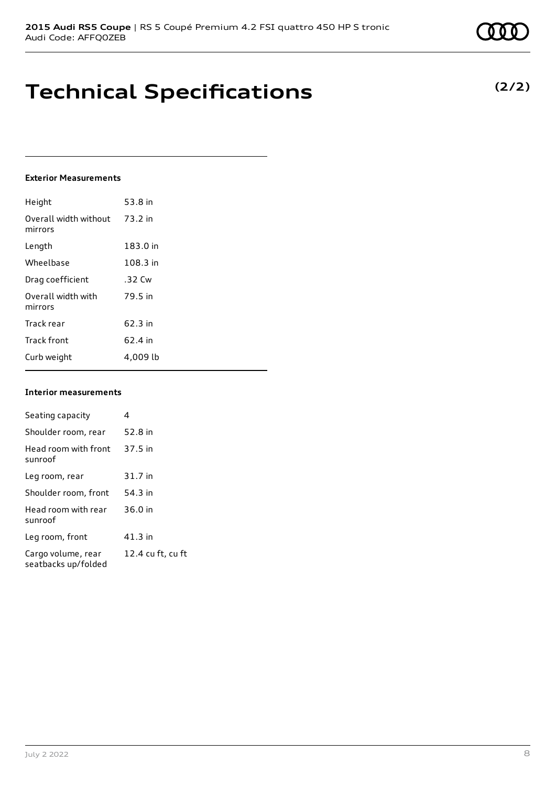# **Technical Specifications**

### **Exterior Measurements**

| Height                           | 53.8 in   |
|----------------------------------|-----------|
| Overall width without<br>mirrors | 73.2 in   |
| Length                           | 183.0 in  |
| Wheelbase                        | 108.3 in  |
| Drag coefficient                 | .32 Cw    |
| Overall width with<br>mirrors    | 79.5 in   |
| Track rear                       | $62.3$ in |
| <b>Track front</b>               | 62.4 in   |
| Curb weight                      | 4,009 lb  |

### **Interior measurements**

| Seating capacity                          | 4                 |
|-------------------------------------------|-------------------|
| Shoulder room, rear                       | 52.8 in           |
| Head room with front<br>sunroof           | 37.5 in           |
| Leg room, rear                            | 31.7 in           |
| Shoulder room, front                      | 54.3 in           |
| Head room with rear<br>sunroof            | 36.0 in           |
| Leg room, front                           | $41.3$ in         |
| Cargo volume, rear<br>seatbacks up/folded | 12.4 cu ft, cu ft |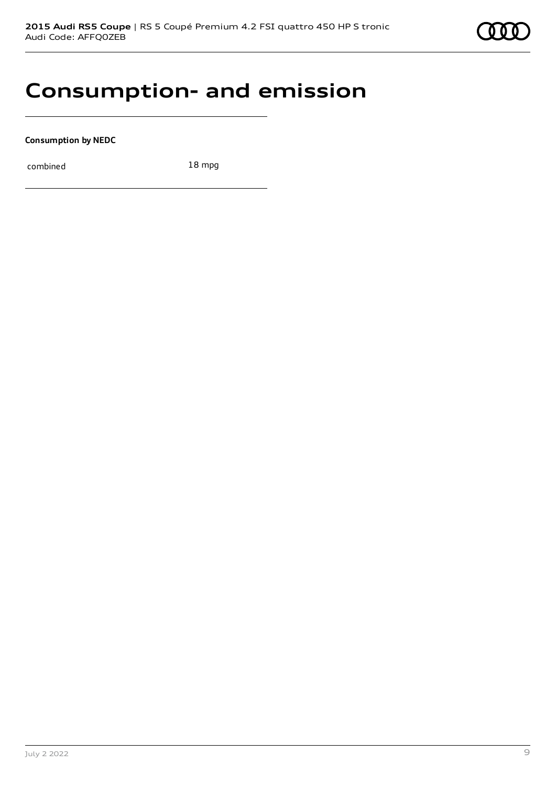# **Consumption- and emission**

**Consumption by NEDC**

combined 18 mpg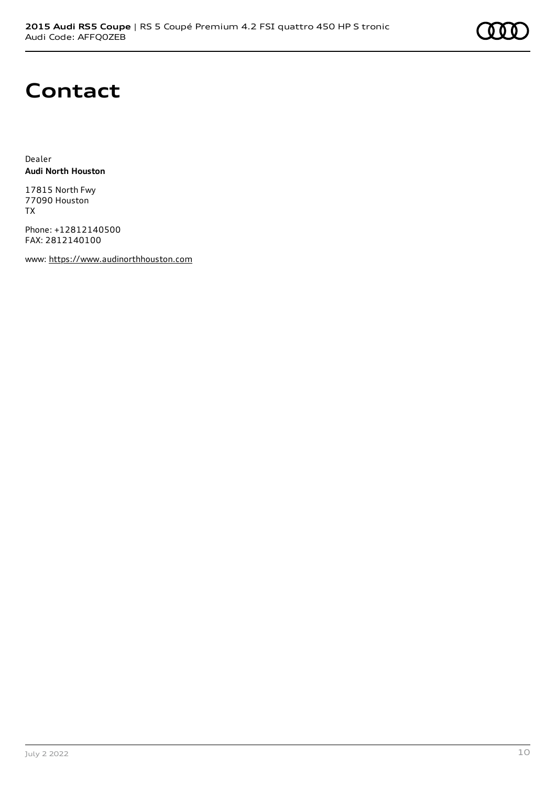

# **Contact**

Dealer **Audi North Houston**

17815 North Fwy 77090 Houston TX

Phone: +12812140500 FAX: 2812140100

www: [https://www.audinorthhouston.com](https://www.audinorthhouston.com/)